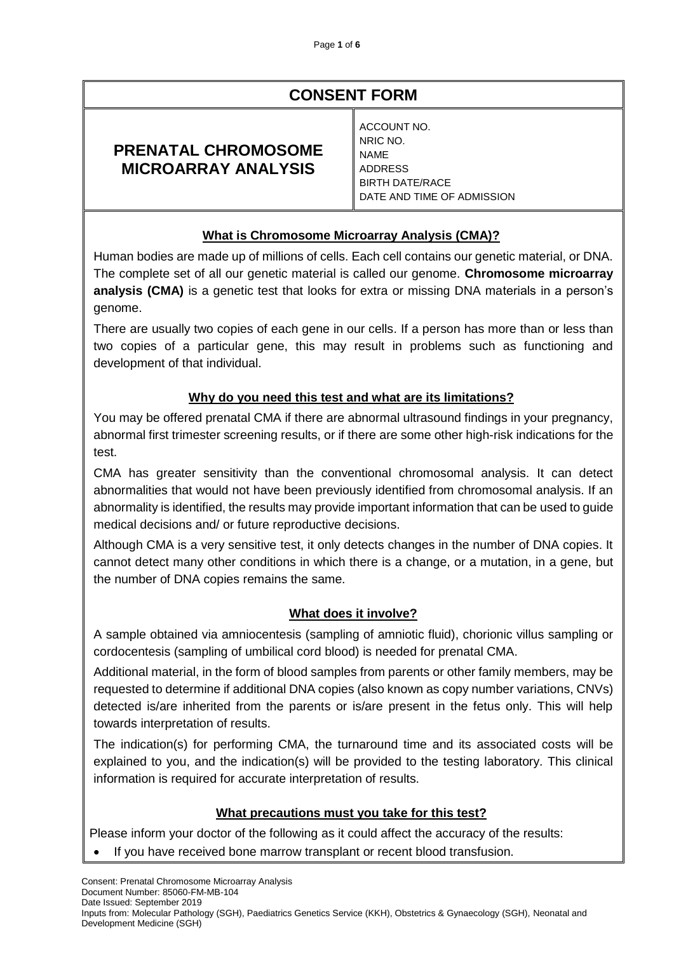# **CONSENT FORM**

## **PRENATAL CHROMOSOME MICROARRAY ANALYSIS**

ACCOUNT NO. NRIC NO. NAME ADDRESS BIRTH DATE/RACE DATE AND TIME OF ADMISSION

## **What is Chromosome Microarray Analysis (CMA)?**

Human bodies are made up of millions of cells. Each cell contains our genetic material, or DNA. The complete set of all our genetic material is called our genome. **Chromosome microarray analysis (CMA)** is a genetic test that looks for extra or missing DNA materials in a person's genome.

There are usually two copies of each gene in our cells. If a person has more than or less than two copies of a particular gene, this may result in problems such as functioning and development of that individual.

## **Why do you need this test and what are its limitations?**

You may be offered prenatal CMA if there are abnormal ultrasound findings in your pregnancy, abnormal first trimester screening results, or if there are some other high-risk indications for the test.

CMA has greater sensitivity than the conventional chromosomal analysis. It can detect abnormalities that would not have been previously identified from chromosomal analysis. If an abnormality is identified, the results may provide important information that can be used to guide medical decisions and/ or future reproductive decisions.

Although CMA is a very sensitive test, it only detects changes in the number of DNA copies. It cannot detect many other conditions in which there is a change, or a mutation, in a gene, but the number of DNA copies remains the same.

#### **What does it involve?**

A sample obtained via amniocentesis (sampling of amniotic fluid), chorionic villus sampling or cordocentesis (sampling of umbilical cord blood) is needed for prenatal CMA.

Additional material, in the form of blood samples from parents or other family members, may be requested to determine if additional DNA copies (also known as copy number variations, CNVs) detected is/are inherited from the parents or is/are present in the fetus only. This will help towards interpretation of results.

The indication(s) for performing CMA, the turnaround time and its associated costs will be explained to you, and the indication(s) will be provided to the testing laboratory. This clinical information is required for accurate interpretation of results.

#### **What precautions must you take for this test?**

Please inform your doctor of the following as it could affect the accuracy of the results:

If you have received bone marrow transplant or recent blood transfusion.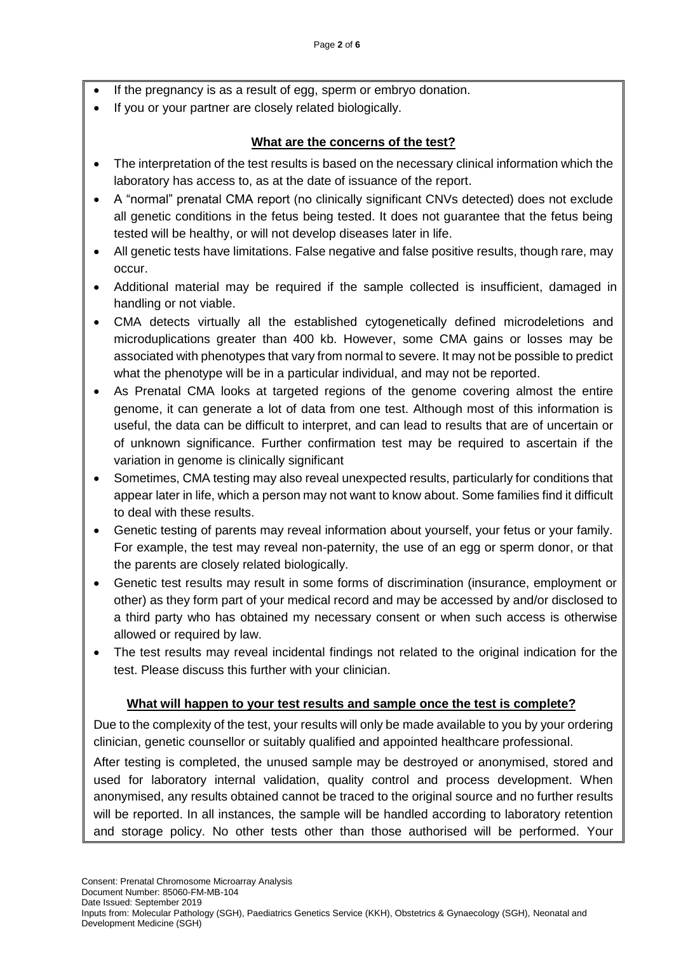- If the pregnancy is as a result of egg, sperm or embryo donation.
- If you or your partner are closely related biologically.

## **What are the concerns of the test?**

- The interpretation of the test results is based on the necessary clinical information which the laboratory has access to, as at the date of issuance of the report.
- A "normal" prenatal CMA report (no clinically significant CNVs detected) does not exclude all genetic conditions in the fetus being tested. It does not guarantee that the fetus being tested will be healthy, or will not develop diseases later in life.
- All genetic tests have limitations. False negative and false positive results, though rare, may occur.
- Additional material may be required if the sample collected is insufficient, damaged in handling or not viable.
- CMA detects virtually all the established cytogenetically defined microdeletions and microduplications greater than 400 kb. However, some CMA gains or losses may be associated with phenotypes that vary from normal to severe. It may not be possible to predict what the phenotype will be in a particular individual, and may not be reported.
- As Prenatal CMA looks at targeted regions of the genome covering almost the entire genome, it can generate a lot of data from one test. Although most of this information is useful, the data can be difficult to interpret, and can lead to results that are of uncertain or of unknown significance. Further confirmation test may be required to ascertain if the variation in genome is clinically significant
- Sometimes, CMA testing may also reveal unexpected results, particularly for conditions that appear later in life, which a person may not want to know about. Some families find it difficult to deal with these results.
- Genetic testing of parents may reveal information about yourself, your fetus or your family. For example, the test may reveal non-paternity, the use of an egg or sperm donor, or that the parents are closely related biologically.
- Genetic test results may result in some forms of discrimination (insurance, employment or other) as they form part of your medical record and may be accessed by and/or disclosed to a third party who has obtained my necessary consent or when such access is otherwise allowed or required by law.
- The test results may reveal incidental findings not related to the original indication for the test. Please discuss this further with your clinician.

#### **What will happen to your test results and sample once the test is complete?**

Due to the complexity of the test, your results will only be made available to you by your ordering clinician, genetic counsellor or suitably qualified and appointed healthcare professional.

After testing is completed, the unused sample may be destroyed or anonymised, stored and used for laboratory internal validation, quality control and process development. When anonymised, any results obtained cannot be traced to the original source and no further results will be reported. In all instances, the sample will be handled according to laboratory retention and storage policy. No other tests other than those authorised will be performed. Your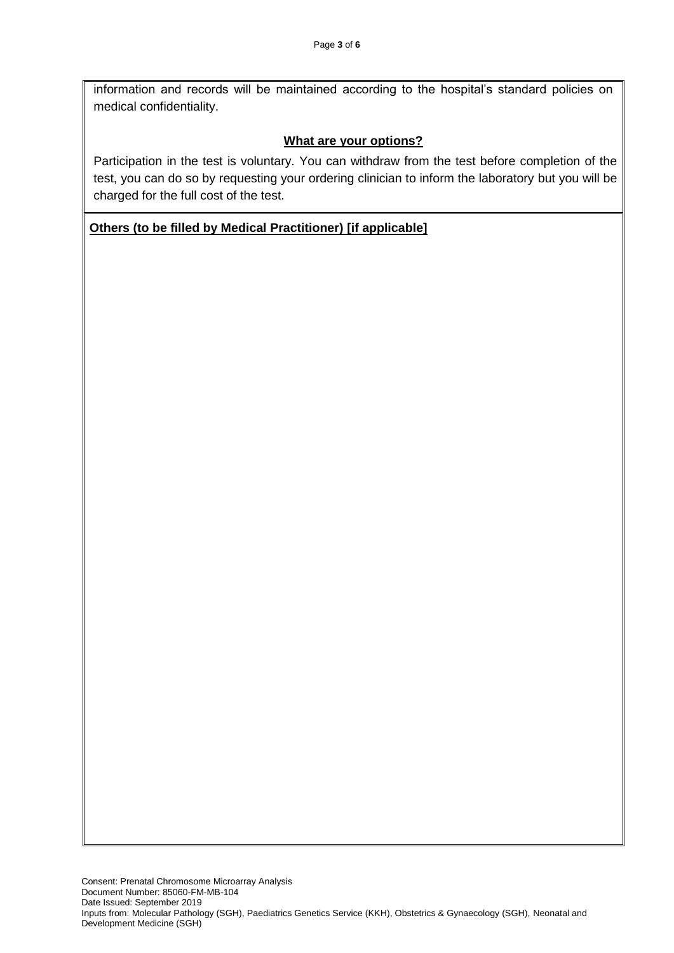information and records will be maintained according to the hospital's standard policies on medical confidentiality.

#### **What are your options?**

Participation in the test is voluntary. You can withdraw from the test before completion of the test, you can do so by requesting your ordering clinician to inform the laboratory but you will be charged for the full cost of the test.

#### **Others (to be filled by Medical Practitioner) [if applicable]**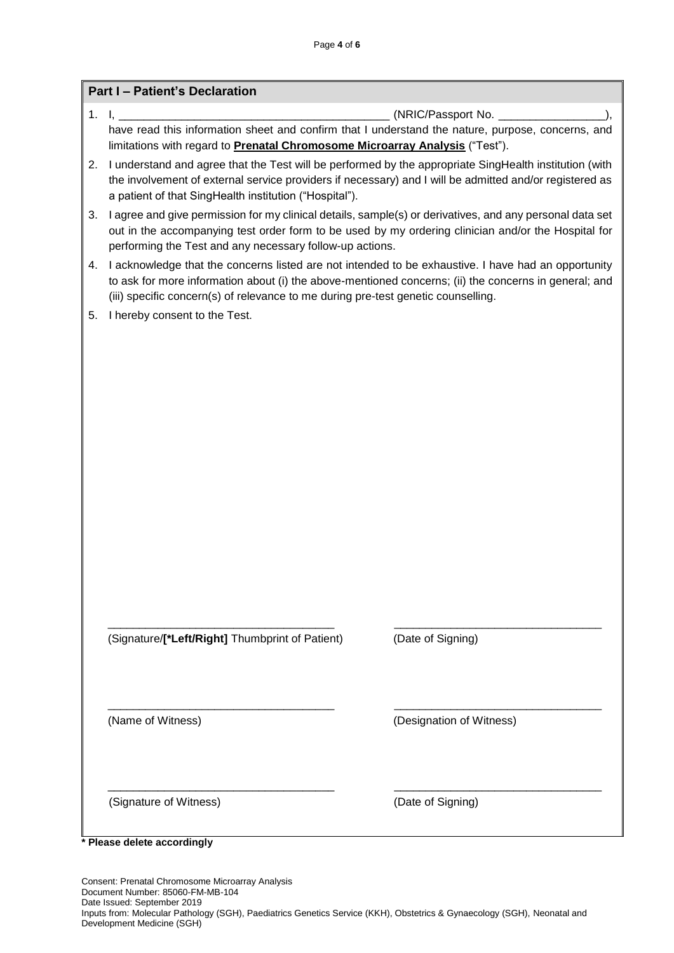|    | <b>Part I - Patient's Declaration</b>                                                                                                                                                                                                                                                             |                          |  |  |
|----|---------------------------------------------------------------------------------------------------------------------------------------------------------------------------------------------------------------------------------------------------------------------------------------------------|--------------------------|--|--|
| 1. | (NRIC/Passport No. _____________<br>$\mathbf{I}$ ,<br>have read this information sheet and confirm that I understand the nature, purpose, concerns, and<br>limitations with regard to <b>Prenatal Chromosome Microarray Analysis</b> ("Test").                                                    |                          |  |  |
|    |                                                                                                                                                                                                                                                                                                   |                          |  |  |
| 2. | I understand and agree that the Test will be performed by the appropriate SingHealth institution (with<br>the involvement of external service providers if necessary) and I will be admitted and/or registered as<br>a patient of that SingHealth institution ("Hospital").                       |                          |  |  |
| 3. | I agree and give permission for my clinical details, sample(s) or derivatives, and any personal data set<br>out in the accompanying test order form to be used by my ordering clinician and/or the Hospital for<br>performing the Test and any necessary follow-up actions.                       |                          |  |  |
| 4. | I acknowledge that the concerns listed are not intended to be exhaustive. I have had an opportunity<br>to ask for more information about (i) the above-mentioned concerns; (ii) the concerns in general; and<br>(iii) specific concern(s) of relevance to me during pre-test genetic counselling. |                          |  |  |
| 5. | I hereby consent to the Test.                                                                                                                                                                                                                                                                     |                          |  |  |
|    |                                                                                                                                                                                                                                                                                                   |                          |  |  |
|    | (Signature/[*Left/Right] Thumbprint of Patient)                                                                                                                                                                                                                                                   | (Date of Signing)        |  |  |
|    | (Name of Witness)                                                                                                                                                                                                                                                                                 | (Designation of Witness) |  |  |
|    | (Signature of Witness)                                                                                                                                                                                                                                                                            | (Date of Signing)        |  |  |

**\* Please delete accordingly**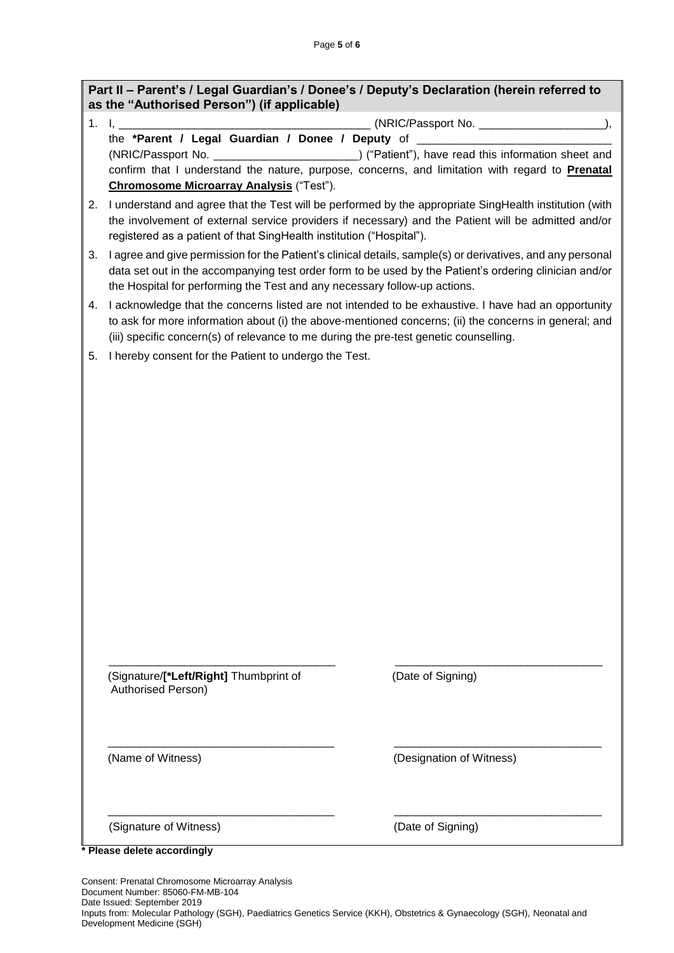| Part II - Parent's / Legal Guardian's / Donee's / Deputy's Declaration (herein referred to<br>as the "Authorised Person") (if applicable) |                                                                                                        |  |  |  |
|-------------------------------------------------------------------------------------------------------------------------------------------|--------------------------------------------------------------------------------------------------------|--|--|--|
|                                                                                                                                           |                                                                                                        |  |  |  |
|                                                                                                                                           | the *Parent / Legal Guardian / Donee / Deputy of ________________________________                      |  |  |  |
|                                                                                                                                           | (NRIC/Passport No. __________________________) ("Patient"), have read this information sheet and       |  |  |  |
|                                                                                                                                           | confirm that I understand the nature, purpose, concerns, and limitation with regard to Prenatal        |  |  |  |
|                                                                                                                                           | <b>Chromosome Microarray Analysis ("Test").</b>                                                        |  |  |  |
| 2.                                                                                                                                        | I understand and agree that the Test will be performed by the appropriate SingHealth institution (with |  |  |  |
|                                                                                                                                           | the involvement of external service providers if necessary) and the Patient will be admitted and/or    |  |  |  |

registered as a patient of that SingHealth institution ("Hospital"). 3. I agree and give permission for the Patient's clinical details, sample(s) or derivatives, and any personal data set out in the accompanying test order form to be used by the Patient's ordering clinician and/or

- the Hospital for performing the Test and any necessary follow-up actions. 4. I acknowledge that the concerns listed are not intended to be exhaustive. I have had an opportunity to ask for more information about (i) the above-mentioned concerns; (ii) the concerns in general; and
	- (iii) specific concern(s) of relevance to me during the pre-test genetic counselling.
- 5. I hereby consent for the Patient to undergo the Test.

(Signature/**[\*Left/Right]** Thumbprint of (Date of Signing) Authorised Person)

(Name of Witness) (Designation of Witness)

(Signature of Witness) (Date of Signing)

**\* Please delete accordingly**

Consent: Prenatal Chromosome Microarray Analysis Document Number: 85060-FM-MB-104 Date Issued: September 2019 Inputs from: Molecular Pathology (SGH), Paediatrics Genetics Service (KKH), Obstetrics & Gynaecology (SGH), Neonatal and Development Medicine (SGH)

\_\_\_\_\_\_\_\_\_\_\_\_\_\_\_\_\_\_\_\_\_\_\_\_\_\_\_\_\_\_\_\_\_\_\_\_ \_\_\_\_\_\_\_\_\_\_\_\_\_\_\_\_\_\_\_\_\_\_\_\_\_\_\_\_\_\_\_\_\_

\_\_\_\_\_\_\_\_\_\_\_\_\_\_\_\_\_\_\_\_\_\_\_\_\_\_\_\_\_\_\_\_\_\_\_\_ \_\_\_\_\_\_\_\_\_\_\_\_\_\_\_\_\_\_\_\_\_\_\_\_\_\_\_\_\_\_\_\_\_

\_\_\_\_\_\_\_\_\_\_\_\_\_\_\_\_\_\_\_\_\_\_\_\_\_\_\_\_\_\_\_\_\_\_\_\_ \_\_\_\_\_\_\_\_\_\_\_\_\_\_\_\_\_\_\_\_\_\_\_\_\_\_\_\_\_\_\_\_\_